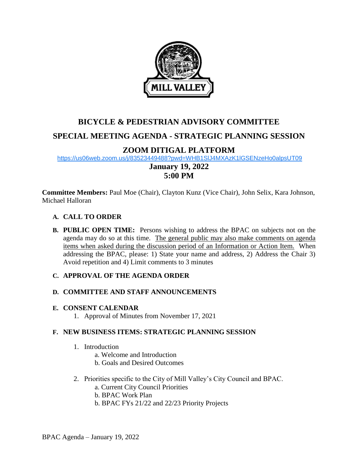

# **BICYCLE & PEDESTRIAN ADVISORY COMMITTEE SPECIAL MEETING AGENDA - STRATEGIC PLANNING SESSION**

# **ZOOM DITIGAL PLATFORM**

<https://us06web.zoom.us/j/83523449488?pwd=WHB1SlJ4MXAzK1lGSENzeHo0alpsUT09>

# **January 19, 2022 5:00 PM**

**Committee Members:** Paul Moe (Chair), Clayton Kunz (Vice Chair), John Selix, Kara Johnson, Michael Halloran

## **A. CALL TO ORDER**

**B. PUBLIC OPEN TIME:** Persons wishing to address the BPAC on subjects not on the agenda may do so at this time. The general public may also make comments on agenda items when asked during the discussion period of an Information or Action Item. When addressing the BPAC, please: 1) State your name and address, 2) Address the Chair 3) Avoid repetition and 4) Limit comments to 3 minutes

# **C. APPROVAL OF THE AGENDA ORDER**

## **D. COMMITTEE AND STAFF ANNOUNCEMENTS**

## **E. CONSENT CALENDAR**

1. Approval of Minutes from November 17, 2021

## **F. NEW BUSINESS ITEMS: STRATEGIC PLANNING SESSION**

- 1. Introduction
	- a. Welcome and Introduction
	- b. Goals and Desired Outcomes
- 2. Priorities specific to the City of Mill Valley's City Council and BPAC.
	- a. Current City Council Priorities
	- b. BPAC Work Plan
	- b. BPAC FYs 21/22 and 22/23 Priority Projects